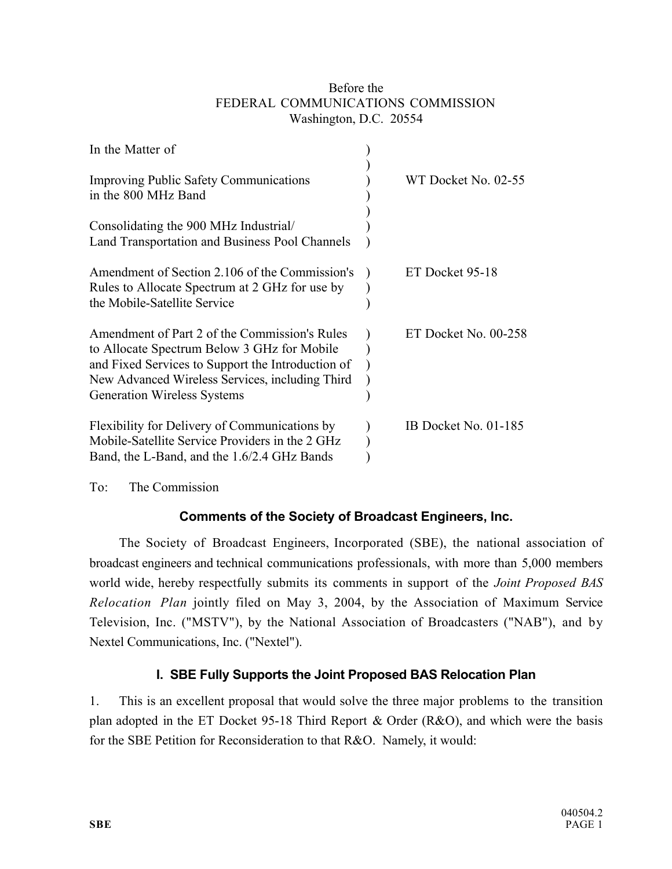#### Before the FEDERAL COMMUNICATIONS COMMISSION Washington, D.C. 20554

| In the Matter of                                                                                                                                                                                                                           |                      |
|--------------------------------------------------------------------------------------------------------------------------------------------------------------------------------------------------------------------------------------------|----------------------|
| <b>Improving Public Safety Communications</b><br>in the 800 MHz Band                                                                                                                                                                       | WT Docket No. 02-55  |
| Consolidating the 900 MHz Industrial/<br>Land Transportation and Business Pool Channels                                                                                                                                                    |                      |
| Amendment of Section 2.106 of the Commission's<br>Rules to Allocate Spectrum at 2 GHz for use by<br>the Mobile-Satellite Service                                                                                                           | ET Docket 95-18      |
| Amendment of Part 2 of the Commission's Rules<br>to Allocate Spectrum Below 3 GHz for Mobile<br>and Fixed Services to Support the Introduction of<br>New Advanced Wireless Services, including Third<br><b>Generation Wireless Systems</b> | ET Docket No. 00-258 |
| Flexibility for Delivery of Communications by<br>Mobile-Satellite Service Providers in the 2 GHz<br>Band, the L-Band, and the 1.6/2.4 GHz Bands                                                                                            | IB Docket No. 01-185 |

To: The Commission

# **Comments of the Society of Broadcast Engineers, Inc.**

The Society of Broadcast Engineers, Incorporated (SBE), the national association of broadcast engineers and technical communications professionals, with more than 5,000 members world wide, hereby respectfully submits its comments in support of the *Joint Proposed BAS Relocation Plan* jointly filed on May 3, 2004, by the Association of Maximum Service Television, Inc. ("MSTV"), by the National Association of Broadcasters ("NAB"), and by Nextel Communications, Inc. ("Nextel").

## **I. SBE Fully Supports the Joint Proposed BAS Relocation Plan**

1. This is an excellent proposal that would solve the three major problems to the transition plan adopted in the ET Docket 95-18 Third Report & Order (R&O), and which were the basis for the SBE Petition for Reconsideration to that R&O. Namely, it would: